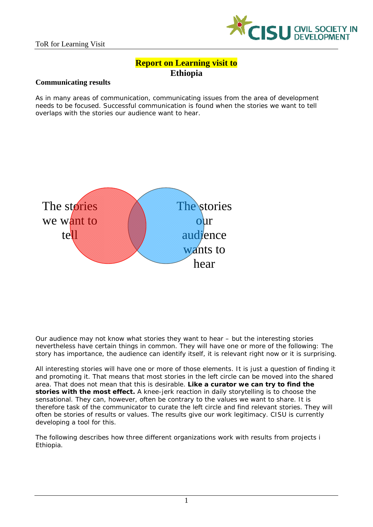

# **Report on Learning visit to Ethiopia**

### **Communicating results**

As in many areas of communication, communicating issues from the area of development needs to be focused. Successful communication is found when the stories we want to tell overlaps with the stories our audience want to hear.



Our audience may not know what stories they want to hear – but the interesting stories nevertheless have certain things in common. They will have one or more of the following: The story has importance, the audience can identify itself, it is relevant right now or it is surprising.

All interesting stories will have one or more of those elements. It is just a question of finding it and promoting it. That means that most stories in the left circle can be moved into the shared area. That does not mean that this is desirable. **Like a curator we can try to find the stories with the most effect.** A knee-jerk reaction in daily storytelling is to choose the sensational. They can, however, often be contrary to the values we want to share. It is therefore task of the communicator to curate the left circle and find relevant stories. They will often be stories of results or values. The results give our work legitimacy. CISU is currently developing a tool for this.

The following describes how three different organizations work with results from projects i Ethiopia.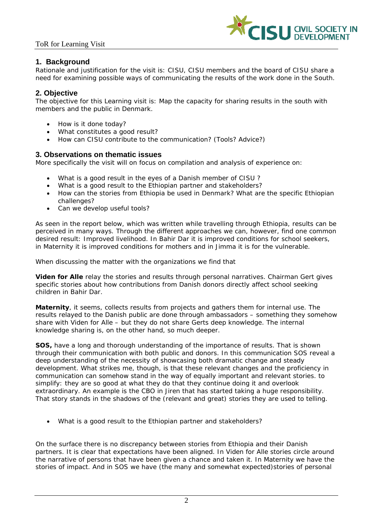

# **1. Background**

Rationale and justification for the visit is: CISU, CISU members and the board of CISU share a need for examining possible ways of communicating the results of the work done in the South.

# **2. Objective**

The objective for this Learning visit is: Map the capacity for sharing results in the south with members and the public in Denmark.

- How is it done today?
- What constitutes a good result?
- How can CISU contribute to the communication? (Tools? Advice?)

# **3. Observations on thematic issues**

More specifically the visit will on focus on compilation and analysis of experience on:

- What is a good result in the eyes of a Danish member of CISU ?
- What is a good result to the Ethiopian partner and stakeholders?
- How can the stories from Ethiopia be used in Denmark? What are the specific Ethiopian challenges?
- Can we develop useful tools?

As seen in the report below, which was written while travelling through Ethiopia, results can be perceived in many ways. Through the different approaches we can, however, find one common desired result: Improved livelihood. In Bahir Dar it is improved conditions for school seekers, in Maternity it is improved conditions for mothers and in Jimma it is for the vulnerable.

When discussing the matter with the organizations we find that

**Viden for Alle** relay the stories and results through personal narratives. Chairman Gert gives specific stories about how contributions from Danish donors directly affect school seeking children in Bahir Dar.

**Maternity**, it seems, collects results from projects and gathers them for internal use. The results relayed to the Danish public are done through ambassadors – something they somehow share with Viden for Alle – but they do not share Gerts deep knowledge. The internal knowledge sharing is, on the other hand, so much deeper.

**SOS,** have a long and thorough understanding of the importance of results. That is shown through their communication with both public and donors. In this communication SOS reveal a deep understanding of the necessity of showcasing both dramatic change and steady development. What strikes me, though, is that these relevant changes and the proficiency in communication can somehow stand in the way of equally important and relevant stories. to simplify: they are so good at what they do that they continue doing it and overlook extraordinary. An example is the CBO in Jiren that has started taking a huge responsibility. That story stands in the shadows of the (relevant and great) stories they are used to telling.

*What is a good result to the Ethiopian partner and stakeholders?* 

On the surface there is no discrepancy between stories from Ethiopia and their Danish partners. It is clear that expectations have been aligned. In Viden for Alle stories circle around the narrative of persons that have been given a chance and taken it. In Maternity we have the stories of impact. And in SOS we have (the many and somewhat expected)stories of personal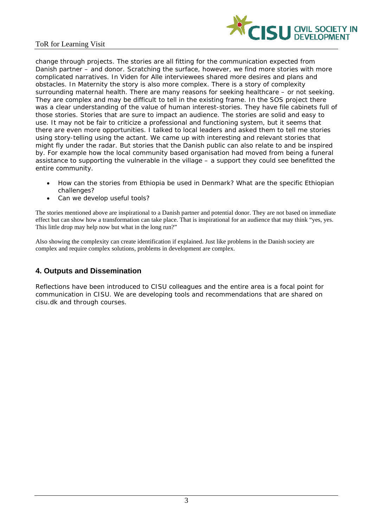

change through projects. The stories are all fitting for the communication expected from Danish partner – and donor. Scratching the surface, however, we find more stories with more complicated narratives. In Viden for Alle interviewees shared more desires and plans and obstacles. In Maternity the story is also more complex. There is a story of complexity surrounding maternal health. There are many reasons for seeking healthcare – or not seeking. They are complex and may be difficult to tell in the existing frame. In the SOS project there was a clear understanding of the value of human interest-stories. They have file cabinets full of those stories. Stories that are sure to impact an audience. The stories are solid and easy to use. It may not be fair to criticize a professional and functioning system, but it seems that there are even more opportunities. I talked to local leaders and asked them to tell me stories using story-telling using the actant. We came up with interesting and relevant stories that might fly under the radar. But stories that the Danish public can also relate to and be inspired by. For example how the local community based organisation had moved from being a funeral assistance to supporting the vulnerable in the village – a support they could see benefitted the entire community.

- How can the stories from Ethiopia be used in Denmark? What are the specific Ethiopian challenges?
- Can we develop useful tools?

The stories mentioned above are inspirational to a Danish partner and potential donor. They are not based on immediate effect but can show how a transformation can take place. That is inspirational for an audience that may think "yes, yes. This little drop may help now but what in the long run?"

Also showing the complexity can create identification if explained. Just like problems in the Danish society are complex and require complex solutions, problems in development are complex.

# **4. Outputs and Dissemination**

Reflections have been introduced to CISU colleagues and the entire area is a focal point for communication in CISU. We are developing tools and recommendations that are shared on cisu.dk and through courses.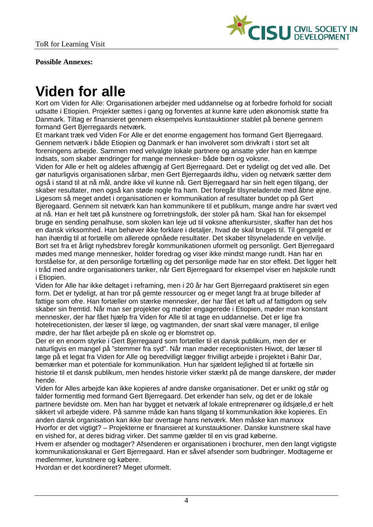

**Possible Annexes:** 

# **Viden for alle**

Kort om Viden for Alle: Organisationen arbejder med uddannelse og at forbedre forhold for socialt udsatte i Etiopien. Projekter sættes i gang og forventes at kunne køre uden økonomisk støtte fra Danmark. Tiltag er finansieret gennem eksempelvis kunstauktioner stablet på benene gennem formand Gert Bjerregaards netværk.

Et markant træk ved Viden For Alle er det enorme engagement hos formand Gert Bjerregaard. Gennem netværk i både Etiopien og Danmark er han involveret som drivkraft i stort set alt foreningens arbejde. Sammen med velvalgte lokale partnere og ansatte yder han en kæmpe indsats, som skaber ændringer for mange mennesker- både børn og voksne.

Viden for Alle er helt og aldeles afhængig af Gert Bjerregaard. Det er tydeligt og det ved alle. Det gør naturligvis organisationen sårbar, men Gert Bjerregaards ildhu, viden og netværk sætter dem også i stand til at nå mål, andre ikke vil kunne nå. Gert Bjerregaard har sin helt egen tilgang, der skaber resultater, men også kan støde nogle fra ham. Det foregår tilsyneladende med åbne øjne. Ligesom så meget andet i organisationen er kommunikation af resultater bundet op på Gert Bjeregaard. Gennem sit netværk kan han kommunikere til et publikum, mange andre har svært ved at nå. Han er helt tæt på kunstnere og forretningsfolk, der stoler på ham. Skal han for eksempel bruge en sending penalhuse, som skolen kan leje ud til voksne aftenkursister, skaffer han det hos en dansk virksomhed. Han behøver ikke forklare i detaljer, hvad de skal bruges til. Til gengæld er han ihærdig til at fortælle om allerede opnåede resultater. Det skaber tilsyneladende en velvilje. Bort set fra et årligt nyhedsbrev foregår kommunikationen uformelt og personligt. Gert Bjerregaard mødes med mange mennesker, holder foredrag og viser ikke mindst mange rundt. Han har en forståelse for, at den personlige fortælling og det personlige møde har en stor effekt. Det ligger helt i tråd med andre organisationers tanker, når Gert Bjerregaard for eksempel viser en højskole rundt i Etiopien.

Viden for Alle har ikke deltaget i reframing, men i 20 år har Gert Bierregaard praktiseret sin egen form. Det er tydeligt, at han tror på gemte ressourcer og er meget langt fra at bruge billeder af fattige som ofre. Han fortæller om stærke mennesker, der har fået et løft ud af fattigdom og selv skaber sin fremtid. Når man ser projekter og møder engagerede i Etiopien, møder man konstant mennesker, der har fået hjælp fra Viden for Alle til at tage en uddannelse. Det er lige fra hotelrecetionisten, der læser til læge, og vagtmanden, der snart skal være manager, til enlige mødre, der har fået arbejde på en skole og er blomstret op.

Der er en enorm styrke i Gert Bjerregaard som fortæller til et dansk publikum, men der er naturligvis en mangel på "stemmer fra syd". Når man møder receptionisten Hiwot, der læser til læge på et legat fra Viden for Alle og beredvilligt lægger frivilligt arbejde i projektet i Bahir Dar, bemærker man et potentiale for kommunikation. Hun har sjældent lejlighed til at fortælle sin historie til et dansk publikum, men hendes historie virker stærkt på de mange danskere, der møder hende.

Viden for Alles arbejde kan ikke kopieres af andre danske organisationer. Det er unikt og står og falder formentlig med formand Gert Bjerregaard. Det erkender han selv, og det er de lokale partnere bevidste om. Men han har bygget et netværk af lokale entreprenører og ildsjæle,d er helt sikkert vil arbejde videre. På samme måde kan hans tilgang til kommunikation ikke kopieres. En anden dansk organisation kan ikke bar overtage hans netværk. Men måske kan manxxx Hvorfor er det vigtigt? – Projekterne er finansieret at kunstauktioner. Danske kunstnere skal have en vished for, at deres bidrag virker. Det samme gælder til en vis grad køberne.

Hvem er afsender og modtager? Afsenderen er organisationen i brochurer, men den langt vigtigste kommunikationskanal er Gert Bjerregaard. Han er såvel afsender som budbringer. Modtagerne er medlemmer, kunstnere og købere.

Hvordan er det koordineret? Meget uformelt.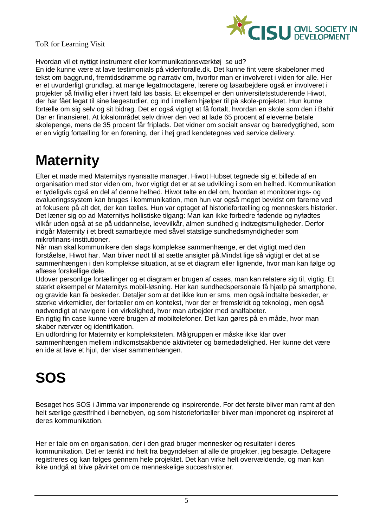

Hvordan vil et nyttigt instrument eller kommunikationsværktøj se ud?

En ide kunne være at lave testimonials på videnforalle.dk. Det kunne fint være skabeloner med tekst om baggrund, fremtidsdrømme og narrativ om, hvorfor man er involveret i viden for alle. Her er et uvurderligt grundlag, at mange legatmodtagere, lærere og løsarbejdere også er involveret i projekter på frivillig eller i hvert fald løs basis. Et eksempel er den universitetsstuderende Hiwot, der har fået legat til sine lægestudier, og ind i mellem hjælper til på skole-projektet. Hun kunne fortælle om sig selv og sit bidrag. Det er også vigtigt at få fortalt, hvordan en skole som den i Bahir Dar er finansieret. At lokalområdet selv driver den ved at lade 65 procent af eleverne betale skolepenge, mens de 35 procent får friplads. Det vidner om socialt ansvar og bæredygtighed, som er en vigtig fortælling for en forening, der i høj grad kendetegnes ved service delivery.

# **Maternity**

Efter et møde med Maternitys nyansatte manager, Hiwot Hubset tegnede sig et billede af en organisation med stor viden om, hvor vigtigt det er at se udvikling i som en helhed. Kommunikation er tydeligvis også en del af denne helhed. Hiwot talte en del om, hvordan et monitorerings- og evalueringssystem kan bruges i kommunikation, men hun var også meget bevidst om farerne ved at fokusere på alt det, der kan tælles. Hun var optaget af historiefortælling og menneskers historier. Det læner sig op ad Maternitys hollistiske tilgang: Man kan ikke forbedre fødende og nyfødtes vilkår uden også at se på uddannelse, levevilkår, almen sundhed g indtægtsmuligheder. Derfor indgår Maternity i et bredt samarbejde med såvel statslige sundhedsmyndigheder som mikrofinans-institutioner.

Når man skal kommunikere den slags komplekse sammenhænge, er det vigtigt med den forståelse, Hiwot har. Man bliver nødt til at sætte ansigter på.Mindst lige så vigtigt er det at se sammenhængen i den komplekse situation, at se et diagram eller lignende, hvor man kan følge og aflæse forskellige dele.

Udover personlige fortællinger og et diagram er brugen af cases, man kan relatere sig til, vigtig. Et stærkt eksempel er Maternitys mobil-løsning. Her kan sundhedspersonale få hjælp på smartphone, og gravide kan få beskeder. Detaljer som at det ikke kun er sms, men også indtalte beskeder, er stærke virkemidler, der fortæller om en kontekst, hvor der er fremskridt og teknologi, men også nødvendigt at navigere i en virkelighed, hvor man arbejder med analfabeter.

En rigtig fin case kunne være brugen af mobiltelefoner. Det kan gøres på en måde, hvor man skaber nærvær og identifikation.

En udfordring for Maternity er kompleksiteten. Målgruppen er måske ikke klar over sammenhængen mellem indkomstsakbende aktiviteter og børnedødelighed. Her kunne det være en ide at lave et hjul, der viser sammenhængen.

# **SOS**

Besøget hos SOS i Jimma var imponerende og inspirerende. For det første bliver man ramt af den helt særlige gæstfrihed i børnebyen, og som historiefortæller bliver man imponeret og inspireret af deres kommunikation.

Her er tale om en organisation, der i den grad bruger mennesker og resultater i deres kommunikation. Det er tænkt ind helt fra begyndelsen af alle de projekter, jeg besøgte. Deltagere registreres og kan følges gennem hele projektet. Det kan virke helt overvældende, og man kan ikke undgå at blive påvirket om de menneskelige succeshistorier.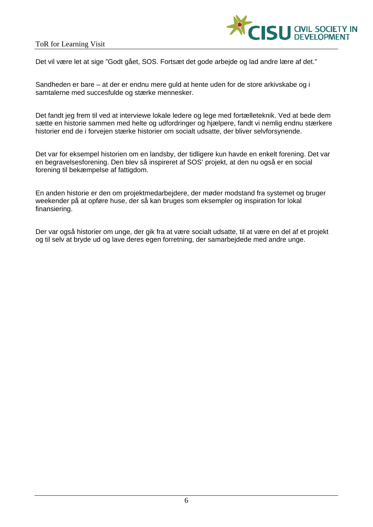

Det vil være let at sige "Godt gået, SOS. Fortsæt det gode arbeide og lad andre lære af det."

Sandheden er bare – at der er endnu mere guld at hente uden for de store arkivskabe og i samtalerne med succesfulde og stærke mennesker.

Det fandt jeg frem til ved at interviewe lokale ledere og lege med fortælleteknik. Ved at bede dem sætte en historie sammen med helte og udfordringer og hjælpere, fandt vi nemlig endnu stærkere historier end de i forvejen stærke historier om socialt udsatte, der bliver selvforsynende.

Det var for eksempel historien om en landsby, der tidligere kun havde en enkelt forening. Det var en begravelsesforening. Den blev så inspireret af SOS' projekt, at den nu også er en social forening til bekæmpelse af fattigdom.

En anden historie er den om projektmedarbejdere, der møder modstand fra systemet og bruger weekender på at opføre huse, der så kan bruges som eksempler og inspiration for lokal finansiering.

Der var også historier om unge, der gik fra at være socialt udsatte, til at være en del af et projekt og til selv at bryde ud og lave deres egen forretning, der samarbejdede med andre unge.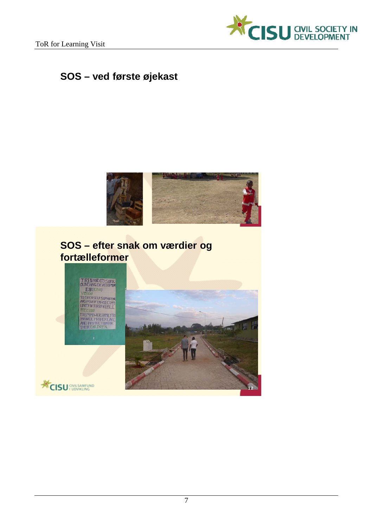

# **SOS – ved første øjekast**



# **SOS – efter snak om værdier og fortælleformer**





12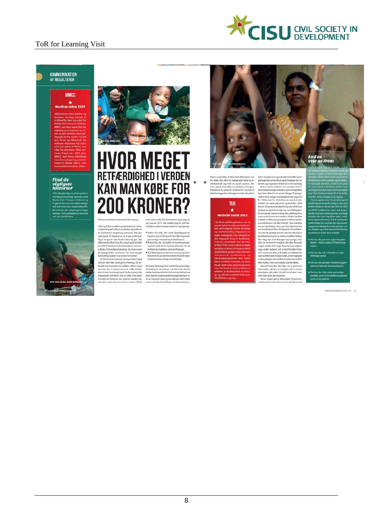

#### KOMMUNIKATION AF RESULTATER

# **MMCC**

# $\star$ <br>Medlem siden 2003

ans triste skaebne

#### **Find de** vigtigste<br>historier





# HVOR MEGET **RETFÆRDIGHED I VERDEN KAN MAN KØBE FOR 200 KRONER?**

Af kommunikationskonsulent Kim Jennen<br>
ord virkan matile. Det beviste enterjes, log variables and the skilling medicine biling and the skilling medicines of the skilling medicines of the skilling medicines of the skilling

and clean with Det fundets on an end vi kan måle. Det beviste en rejse, jeg va<br>på i januar 2015. Her mødte jeg tre vidt for<br>skellige medlemsorganisationer og tilgange

Det er svært ikke at blive rørt af historien om Det er svært ikke at blive rørt af historien om<br>en skole, der efter en hjølpende hånd nu er<br>selvkørende og med et socialt system, der<br>sikve plads til landsbyens udsatte ved at give<br>friplads til 35 procent af eleverne. Og d

 $\ddot{\bullet}$ 

# **TUG**  $\star$ <br>Medlem siden 2003 .<br>viklingslande er der e

är har brung kunser og mikrodist til at løfte sig fra Starbung kunser og mikrodist og inngrindsmokkile for sen hell andsby.<br>Starbung i more for sig and the form of the starbung of the starbung starbung starbung starbung s stones aajeg van vergedeemig oor af afstheer<br>spectral geneemig oor af afstheed engele of the spectral geneemic of afstraghon<br>memorarchic memorarchic memorarchic memorarchic memorarchic memorarchic memorarchic memorarchic s

krolân til at iøfte sig fra

är har brugt kurser og m

Lad os<br>vise os frem



STATUS OG PERSPEKTIV 2014-15 15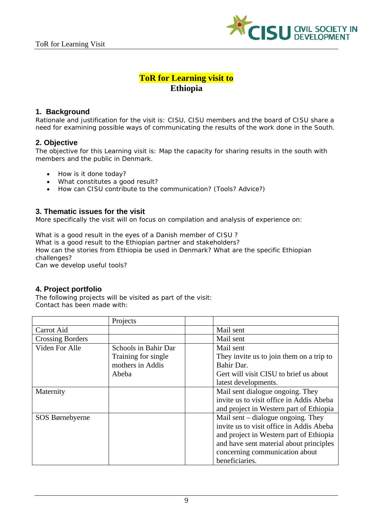

# **ToR for Learning visit to Ethiopia**

# **1. Background**

Rationale and justification for the visit is: CISU, CISU members and the board of CISU share a need for examining possible ways of communicating the results of the work done in the South.

## **2. Objective**

The objective for this Learning visit is: Map the capacity for sharing results in the south with members and the public in Denmark.

- How is it done today?
- What constitutes a good result?
- How can CISU contribute to the communication? (Tools? Advice?)

#### **3. Thematic issues for the visit**

More specifically the visit will on focus on compilation and analysis of experience on:

What is a good result in the eyes of a Danish member of CISU ? What is a good result to the Ethiopian partner and stakeholders? How can the stories from Ethiopia be used in Denmark? What are the specific Ethiopian challenges?

Can we develop useful tools?

# **4. Project portfolio**

The following projects will be visited as part of the visit: Contact has been made with:

|                         | Projects             |                                          |
|-------------------------|----------------------|------------------------------------------|
| Carrot Aid              |                      | Mail sent                                |
| <b>Crossing Borders</b> |                      | Mail sent                                |
| Viden For Alle          | Schools in Bahir Dar | Mail sent                                |
|                         | Training for single  | They invite us to join them on a trip to |
|                         | mothers in Addis     | Bahir Dar.                               |
|                         | Abeba                | Gert will visit CISU to brief us about   |
|                         |                      | latest developments.                     |
| Maternity               |                      | Mail sent dialogue ongoing. They         |
|                         |                      | invite us to visit office in Addis Abeba |
|                         |                      | and project in Western part of Ethiopia  |
| SOS Børnebyerne         |                      | Mail sent $-$ dialogue ongoing. They     |
|                         |                      | invite us to visit office in Addis Abeba |
|                         |                      | and project in Western part of Ethiopia  |
|                         |                      | and have sent material about principles  |
|                         |                      | concerning communication about           |
|                         |                      | beneficiaries.                           |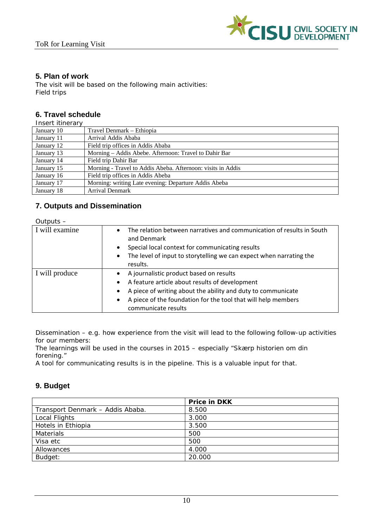

# **5. Plan of work**

The visit will be based on the following main activities: Field trips

# **6. Travel schedule**

| January 10<br>Travel Denmark - Ethiopia<br>Arrival Addis Ababa<br>January 11 | Insert itinerary |                                   |
|------------------------------------------------------------------------------|------------------|-----------------------------------|
|                                                                              |                  |                                   |
|                                                                              |                  |                                   |
|                                                                              | January 12       | Field trip offices in Addis Ababa |
| Morning – Addis Abebe. Afternoon: Travel to Dahir Bar<br>January 13          |                  |                                   |
| Field trip Dahir Bar<br>January 14                                           |                  |                                   |
| Morning - Travel to Addis Abeba. Afternoon: visits in Addis<br>January 15    |                  |                                   |
| Field trip offices in Addis Abeba<br>January 16                              |                  |                                   |
| Morning: writing Late evening: Departure Addis Abeba<br>January 17           |                  |                                   |
| January 18<br><b>Arrival Denmark</b>                                         |                  |                                   |

# **7. Outputs and Dissemination**

 $Q$ utputs

| $U$ ulpuls $-$ |                                                                                                                                                                                                                                                      |
|----------------|------------------------------------------------------------------------------------------------------------------------------------------------------------------------------------------------------------------------------------------------------|
| I will examine | The relation between narratives and communication of results in South<br>$\bullet$<br>and Denmark<br>Special local context for communicating results<br>The level of input to storytelling we can expect when narrating the<br>$\bullet$<br>results. |
| I will produce | A journalistic product based on results<br>A feature article about results of development<br>A piece of writing about the ability and duty to communicate<br>A piece of the foundation for the tool that will help members<br>communicate results    |

Dissemination – e.g. how experience from the visit will lead to the following follow-up activities for our members:

The learnings will be used in the courses in 2015 – especially "Skærp historien om din forening."

A tool for communicating results is in the pipeline. This is a valuable input for that.

# **9. Budget**

|                                  | <b>Price in DKK</b> |  |
|----------------------------------|---------------------|--|
| Transport Denmark - Addis Ababa. | 8.500               |  |
| Local Flights                    | 3.000               |  |
| Hotels in Ethiopia               | 3.500               |  |
| <b>Materials</b>                 | 500                 |  |
| Visa etc                         | 500                 |  |
| Allowances                       | 4.000               |  |
| Budget:                          | 20.000              |  |